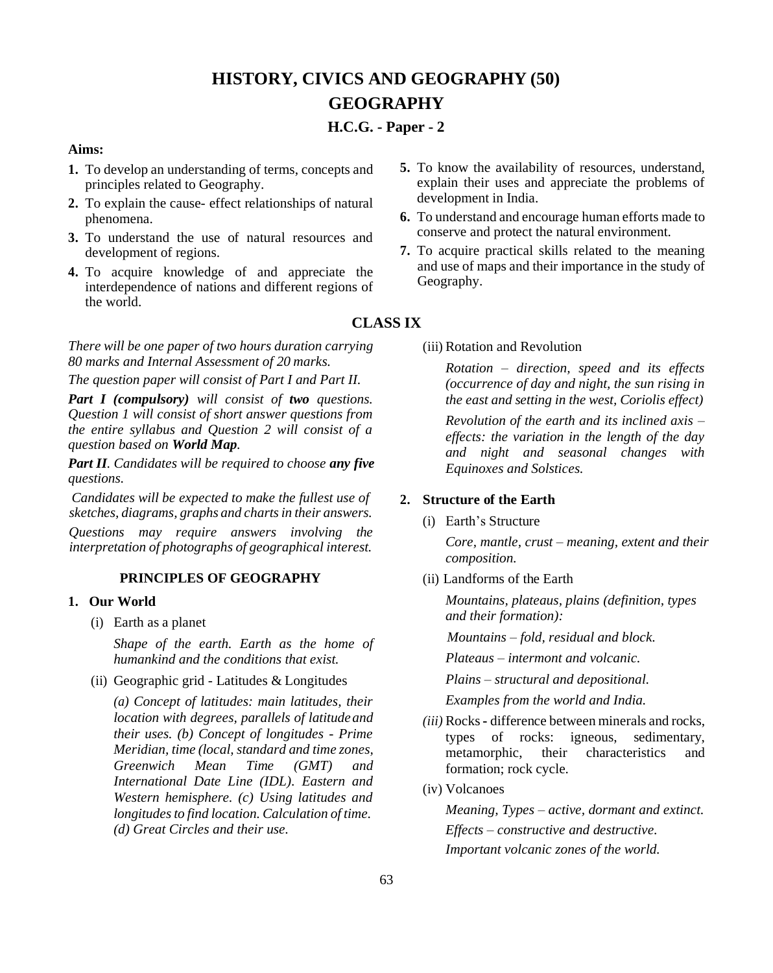# **HISTORY, CIVICS AND GEOGRAPHY (50) GEOGRAPHY**

# **H.C.G. - Paper - 2**

## **Aims:**

- **1.** To develop an understanding of terms, concepts and principles related to Geography.
- **2.** To explain the cause- effect relationships of natural phenomena.
- **3.** To understand the use of natural resources and development of regions.
- **4.** To acquire knowledge of and appreciate the interdependence of nations and different regions of the world.

*There will be one paper of two hours duration carrying 80 marks and Internal Assessment of 20 marks.*

*The question paper will consist of Part I and Part II.*

*Part I (compulsory) will consist of two questions. Question 1 will consist of short answer questions from the entire syllabus and Question 2 will consist of a question based on World Map.*

*Part II. Candidates will be required to choose any five questions.*

*Candidates will be expected to make the fullest use of sketches, diagrams, graphs and chartsin their answers.*

*Questions may require answers involving the interpretation of photographs of geographical interest.*

## **PRINCIPLES OF GEOGRAPHY**

## **1. Our World**

(i) Earth as a planet

*Shape of the earth. Earth as the home of humankind and the conditions that exist.*

(ii) Geographic grid - Latitudes & Longitudes

*(a) Concept of latitudes: main latitudes, their location with degrees, parallels of latitudeand their uses. (b) Concept of longitudes - Prime Meridian, time (local, standard and time zones, Greenwich Mean Time (GMT) and International Date Line (IDL). Eastern and Western hemisphere. (c) Using latitudes and longitudesto find location. Calculation of time. (d) Great Circles and their use.*

- **5.** To know the availability of resources, understand, explain their uses and appreciate the problems of development in India.
- **6.** To understand and encourage human efforts made to conserve and protect the natural environment.
- **7.** To acquire practical skills related to the meaning and use of maps and their importance in the study of Geography.

## **CLASS IX**

(iii) Rotation and Revolution

*Rotation – direction, speed and its effects (occurrence of day and night, the sun rising in the east and setting in the west, Coriolis effect)*

*Revolution of the earth and its inclined axis – effects: the variation in the length of the day and night and seasonal changes with Equinoxes and Solstices.*

## **2. Structure of the Earth**

(i) Earth's Structure

*Core, mantle, crust – meaning, extent and their composition.*

(ii) Landforms of the Earth

*Mountains, plateaus, plains (definition, types and their formation):*

*Mountains – fold, residual and block.* 

*Plateaus – intermont and volcanic.*

*Plains – structural and depositional.* 

*Examples from the world and India.*

- *(iii)* Rocks**-** difference between minerals and rocks, types of rocks: igneous, sedimentary, metamorphic, their characteristics and formation; rock cycle*.*
- (iv) Volcanoes

*Meaning, Types – active, dormant and extinct. Effects – constructive and destructive. Important volcanic zones of the world.*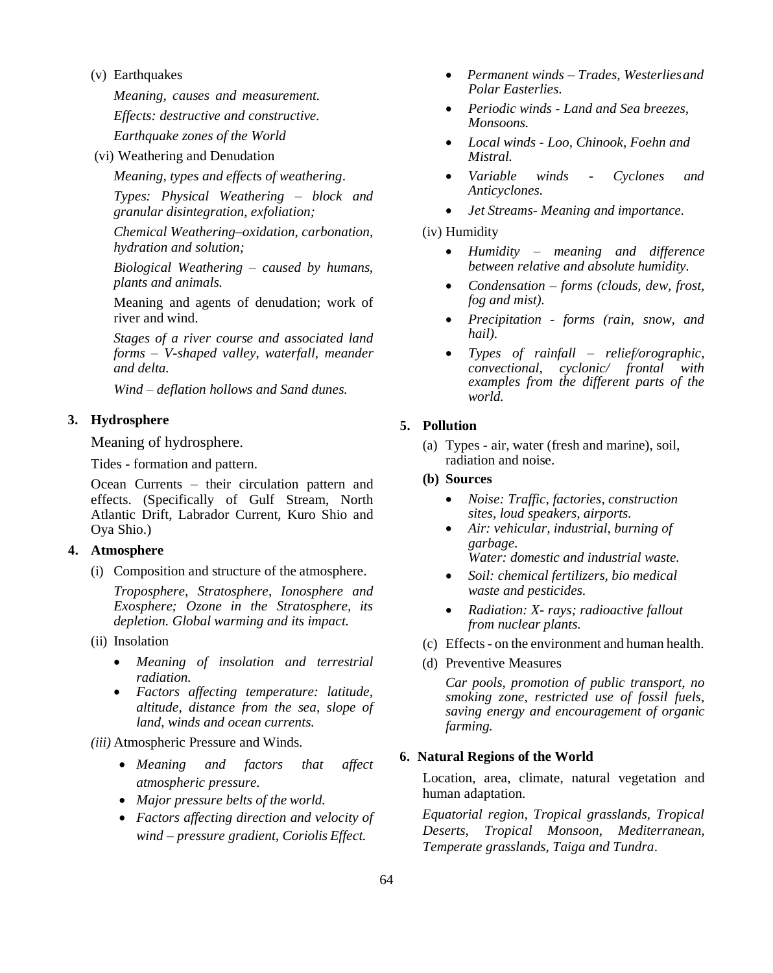#### (v) Earthquakes

*Meaning, causes and measurement. Effects: destructive and constructive. Earthquake zones of the World*

(vi) Weathering and Denudation

*Meaning, types and effects of weathering*.

*Types: Physical Weathering – block and granular disintegration, exfoliation;*

*Chemical Weathering–oxidation, carbonation, hydration and solution;*

*Biological Weathering – caused by humans, plants and animals.*

Meaning and agents of denudation; work of river and wind.

*Stages of a river course and associated land forms – V-shaped valley, waterfall, meander and delta.*

*Wind – deflation hollows and Sand dunes.*

## **3. Hydrosphere**

Meaning of hydrosphere.

Tides - formation and pattern.

Ocean Currents – their circulation pattern and effects. (Specifically of Gulf Stream, North Atlantic Drift, Labrador Current, Kuro Shio and Oya Shio.)

## **4. Atmosphere**

(i) Composition and structure of the atmosphere.

*Troposphere, Stratosphere, Ionosphere and Exosphere; Ozone in the Stratosphere, its depletion. Global warming and its impact.*

- (ii) Insolation
	- *Meaning of insolation and terrestrial radiation.*
	- *Factors affecting temperature: latitude, altitude, distance from the sea, slope of land, winds and ocean currents.*

*(iii)* Atmospheric Pressure and Winds*.*

- *Meaning and factors that affect atmospheric pressure.*
- *Major pressure belts of the world.*
- *Factors affecting direction and velocity of wind – pressure gradient, Coriolis Effect.*
- *Permanent winds – Trades, Westerliesand Polar Easterlies.*
- *Periodic winds - Land and Sea breezes, Monsoons.*
- *Local winds - Loo, Chinook, Foehn and Mistral.*
- *Variable winds - Cyclones and Anticyclones.*
- *Jet Streams- Meaning and importance.*

## (iv) Humidity

- *Humidity – meaning and difference between relative and absolute humidity.*
- *Condensation – forms (clouds, dew, frost, fog and mist).*
- *Precipitation - forms (rain, snow, and hail).*
- *Types of rainfall – relief/orographic, convectional, cyclonic/ frontal with examples from the different parts of the world.*

## **5. Pollution**

- (a) Types air, water (fresh and marine), soil, radiation and noise.
- **(b) Sources**
	- *Noise: Traffic, factories, construction sites, loud speakers, airports.*
	- *Air: vehicular, industrial, burning of garbage. Water: domestic and industrial waste.*
	- *Soil: chemical fertilizers, bio medical waste and pesticides.*
	- *Radiation: X- rays; radioactive fallout from nuclear plants.*
- (c) Effects- on the environment and human health.
- (d) Preventive Measures

*Car pools, promotion of public transport, no smoking zone, restricted use of fossil fuels, saving energy and encouragement of organic farming.*

#### **6. Natural Regions of the World**

Location, area, climate, natural vegetation and human adaptation.

*Equatorial region, Tropical grasslands, Tropical Deserts, Tropical Monsoon, Mediterranean, Temperate grasslands, Taiga and Tundra*.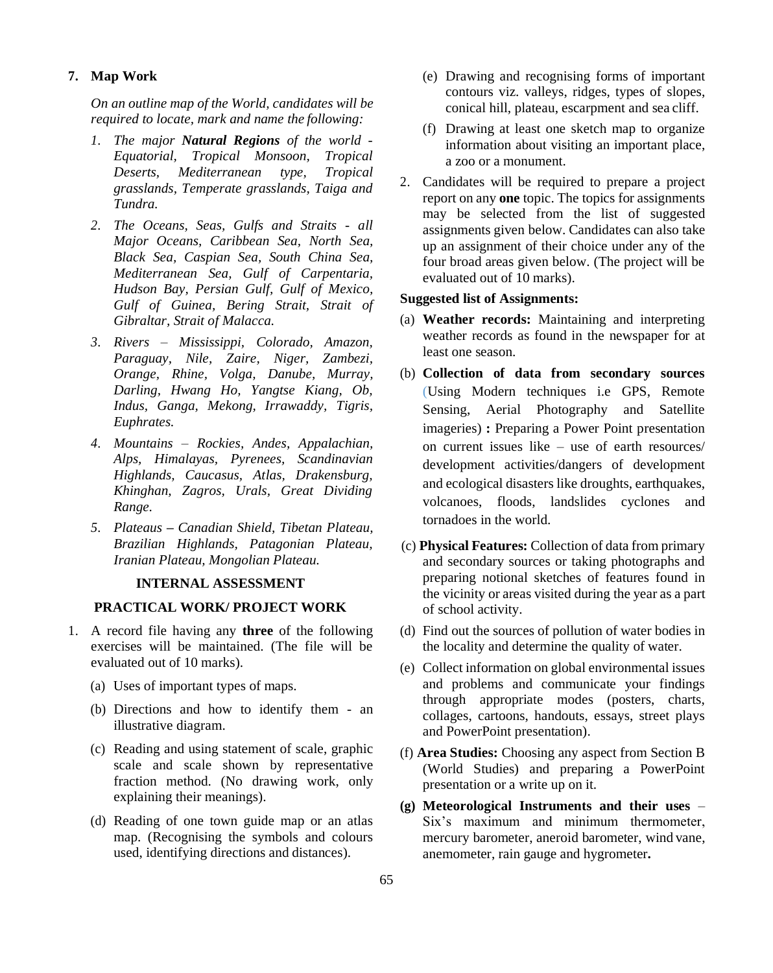## **7. Map Work**

*On an outline map of the World, candidates will be required to locate, mark and name the following:*

- *1. The major Natural Regions of the world - Equatorial, Tropical Monsoon, Tropical Deserts, Mediterranean type, Tropical grasslands, Temperate grasslands, Taiga and Tundra.*
- *2. The Oceans, Seas, Gulfs and Straits - all Major Oceans, Caribbean Sea, North Sea, Black Sea, Caspian Sea, South China Sea, Mediterranean Sea, Gulf of Carpentaria, Hudson Bay, Persian Gulf, Gulf of Mexico, Gulf of Guinea, Bering Strait, Strait of Gibraltar, Strait of Malacca.*
- *3. Rivers – Mississippi, Colorado, Amazon, Paraguay, Nile, Zaire, Niger, Zambezi, Orange, Rhine, Volga, Danube, Murray, Darling, Hwang Ho, Yangtse Kiang, Ob, Indus, Ganga, Mekong, Irrawaddy, Tigris, Euphrates.*
- *4. Mountains – Rockies, Andes, Appalachian, Alps, Himalayas, Pyrenees, Scandinavian Highlands, Caucasus, Atlas, Drakensburg, Khinghan, Zagros, Urals, Great Dividing Range.*
- *5. Plateaus – Canadian Shield, Tibetan Plateau, Brazilian Highlands, Patagonian Plateau, Iranian Plateau, Mongolian Plateau.*

## **INTERNAL ASSESSMENT**

#### **PRACTICAL WORK/ PROJECT WORK**

- 1. A record file having any **three** of the following exercises will be maintained. (The file will be evaluated out of 10 marks).
	- (a) Uses of important types of maps.
	- (b) Directions and how to identify them an illustrative diagram.
	- (c) Reading and using statement of scale, graphic scale and scale shown by representative fraction method. (No drawing work, only explaining their meanings).
	- (d) Reading of one town guide map or an atlas map. (Recognising the symbols and colours used, identifying directions and distances).
- (e) Drawing and recognising forms of important contours viz. valleys, ridges, types of slopes, conical hill, plateau, escarpment and sea cliff.
- (f) Drawing at least one sketch map to organize information about visiting an important place, a zoo or a monument.
- 2. Candidates will be required to prepare a project report on any **one** topic. The topics for assignments may be selected from the list of suggested assignments given below. Candidates can also take up an assignment of their choice under any of the four broad areas given below. (The project will be evaluated out of 10 marks).

#### **Suggested list of Assignments:**

- (a) **Weather records:** Maintaining and interpreting weather records as found in the newspaper for at least one season.
- (b) **Collection of data from secondary sources** (Using Modern techniques i.e GPS, Remote Sensing, Aerial Photography and Satellite imageries) **:** Preparing a Power Point presentation on current issues like – use of earth resources/ development activities/dangers of development and ecological disasters like droughts, earthquakes, volcanoes, floods, landslides cyclones and tornadoes in the world.
- (c) **Physical Features:** Collection of data from primary and secondary sources or taking photographs and preparing notional sketches of features found in the vicinity or areas visited during the year as a part of school activity.
- (d) Find out the sources of pollution of water bodies in the locality and determine the quality of water.
- (e) Collect information on global environmental issues and problems and communicate your findings through appropriate modes (posters, charts, collages, cartoons, handouts, essays, street plays and PowerPoint presentation).
- (f) **Area Studies:** Choosing any aspect from Section B (World Studies) and preparing a PowerPoint presentation or a write up on it.
- **(g) Meteorological Instruments and their uses**  Six's maximum and minimum thermometer, mercury barometer, aneroid barometer, wind vane, anemometer, rain gauge and hygrometer**.**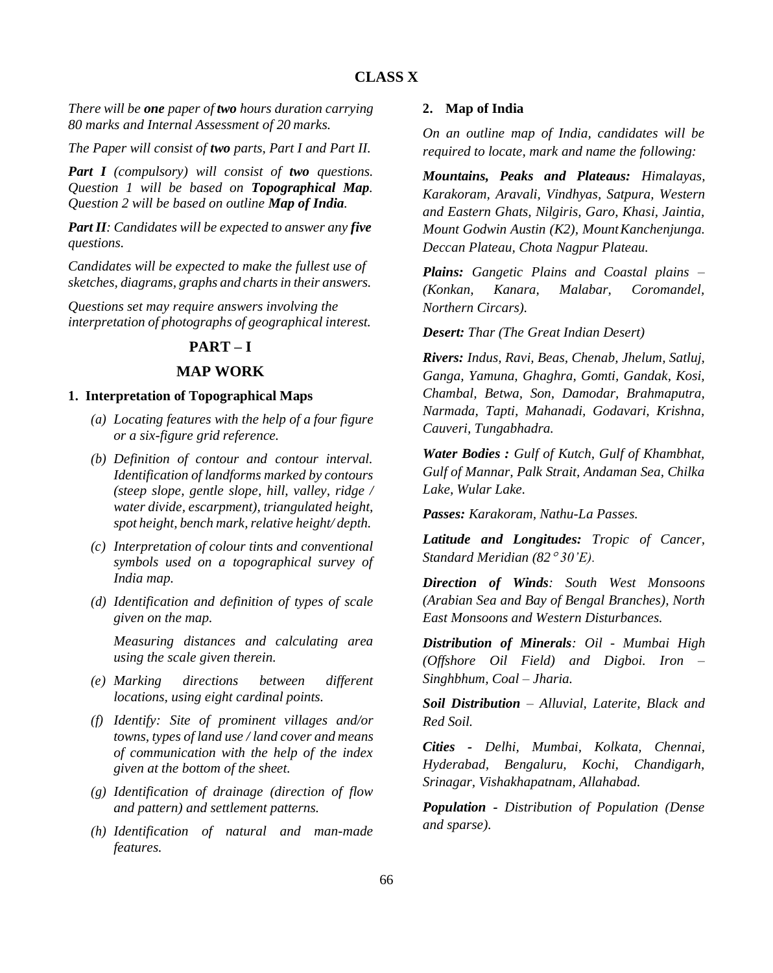## **CLASS X**

*There will be one paper of two hours duration carrying 80 marks and Internal Assessment of 20 marks.*

*The Paper will consist of two parts, Part I and Part II.*

*Part I (compulsory) will consist of two questions. Question 1 will be based on Topographical Map. Question 2 will be based on outline Map of India.*

*Part II: Candidates will be expected to answer any five questions.*

*Candidates will be expected to make the fullest use of sketches, diagrams, graphs and chartsin their answers.*

*Questions set may require answers involving the interpretation of photographs of geographical interest.*

## **PART – I**

## **MAP WORK**

#### **1. Interpretation of Topographical Maps**

- *(a) Locating features with the help of a four figure or a six-figure grid reference.*
- *(b) Definition of contour and contour interval. Identification of landforms marked by contours (steep slope, gentle slope, hill, valley, ridge / water divide, escarpment), triangulated height, spot height, bench mark,relative height/ depth.*
- *(c) Interpretation of colour tints and conventional symbols used on a topographical survey of India map.*
- *(d) Identification and definition of types of scale given on the map.*

*Measuring distances and calculating area using the scale given therein.*

- *(e) Marking directions between different locations, using eight cardinal points.*
- *(f) Identify: Site of prominent villages and/or towns, types of land use / land cover and means of communication with the help of the index given at the bottom of the sheet.*
- *(g) Identification of drainage (direction of flow and pattern) and settlement patterns.*
- *(h) Identification of natural and man-made features.*

## **2. Map of India**

*On an outline map of India, candidates will be required to locate, mark and name the following:*

*Mountains, Peaks and Plateaus: Himalayas, Karakoram, Aravali, Vindhyas, Satpura, Western and Eastern Ghats, Nilgiris, Garo, Khasi, Jaintia, Mount Godwin Austin (K2), MountKanchenjunga. Deccan Plateau, Chota Nagpur Plateau.*

*Plains: Gangetic Plains and Coastal plains – (Konkan, Kanara, Malabar, Coromandel, Northern Circars).*

*Desert: Thar (The Great Indian Desert)*

*Rivers: Indus, Ravi, Beas, Chenab, Jhelum, Satluj, Ganga, Yamuna, Ghaghra, Gomti, Gandak, Kosi, Chambal, Betwa, Son, Damodar, Brahmaputra, Narmada, Tapti, Mahanadi, Godavari, Krishna, Cauveri, Tungabhadra.*

*Water Bodies : Gulf of Kutch, Gulf of Khambhat, Gulf of Mannar, Palk Strait, Andaman Sea, Chilka Lake, Wular Lake.*

*Passes: Karakoram, Nathu-La Passes.*

*Latitude and Longitudes: Tropic of Cancer, Standard Meridian (82 30'E).*

*Direction of Winds: South West Monsoons (Arabian Sea and Bay of Bengal Branches), North East Monsoons and Western Disturbances.*

*Distribution of Minerals: Oil - Mumbai High (Offshore Oil Field) and Digboi. Iron – Singhbhum, Coal – Jharia.*

*Soil Distribution – Alluvial, Laterite, Black and Red Soil.*

*Cities - Delhi, Mumbai, Kolkata, Chennai, Hyderabad, Bengaluru, Kochi, Chandigarh, Srinagar, Vishakhapatnam, Allahabad.*

*Population - Distribution of Population (Dense and sparse).*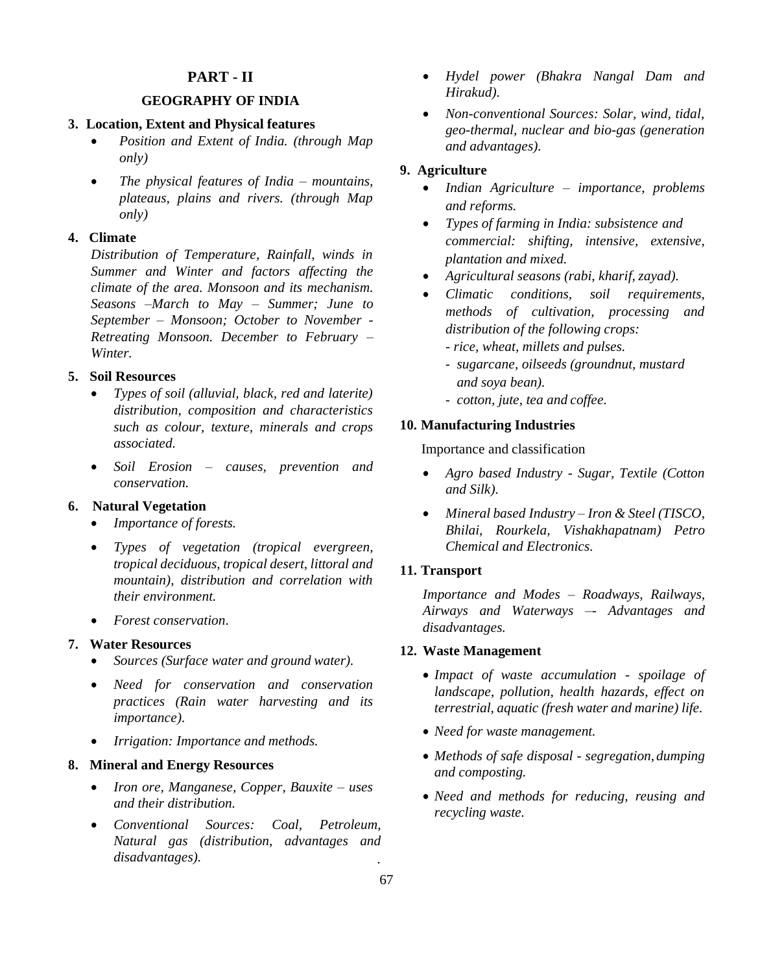## **PART - II**

## **GEOGRAPHY OF INDIA**

#### **3. Location, Extent and Physical features**

- *Position and Extent of India. (through Map only)*
- *The physical features of India – mountains, plateaus, plains and rivers. (through Map only)*

#### **4. Climate**

*Distribution of Temperature, Rainfall, winds in Summer and Winter and factors affecting the climate of the area. Monsoon and its mechanism. Seasons –March to May – Summer; June to September – Monsoon; October to November - Retreating Monsoon. December to February – Winter.*

#### **5. Soil Resources**

- *Types of soil (alluvial, black, red and laterite) distribution, composition and characteristics such as colour, texture, minerals and crops associated.*
- *Soil Erosion – causes, prevention and conservation.*

#### **6. Natural Vegetation**

- *Importance of forests.*
- *Types of vegetation (tropical evergreen, tropical deciduous, tropical desert, littoral and mountain), distribution and correlation with their environment.*
- *Forest conservation*.

#### **7. Water Resources**

- *Sources (Surface water and ground water).*
- *Need for conservation and conservation practices (Rain water harvesting and its importance).*
- *Irrigation: Importance and methods.*

## **8. Mineral and Energy Resources**

- *Iron ore, Manganese, Copper, Bauxite – uses and their distribution.*
- *Conventional Sources: Coal, Petroleum, Natural gas (distribution, advantages and disadvantages). .*
- *Hydel power (Bhakra Nangal Dam and Hirakud).*
- *Non-conventional Sources: Solar, wind, tidal, geo-thermal, nuclear and bio-gas (generation and advantages).*

## **9. Agriculture**

- *Indian Agriculture – importance, problems and reforms.*
- *Types of farming in India: subsistence and commercial: shifting, intensive, extensive, plantation and mixed.*
- *Agricultural seasons (rabi, kharif, zayad).*
- *Climatic conditions, soil requirements, methods of cultivation, processing and distribution of the following crops:*
	- *- rice, wheat, millets and pulses.*
	- *sugarcane, oilseeds (groundnut, mustard and soya bean).*
	- *cotton, jute, tea and coffee.*

#### **10. Manufacturing Industries**

Importance and classification

- *Agro based Industry - Sugar, Textile (Cotton and Silk).*
- *Mineral based Industry – Iron & Steel (TISCO, Bhilai, Rourkela, Vishakhapatnam) Petro Chemical and Electronics.*

#### **11. Transport**

*Importance and Modes – Roadways, Railways, Airways and Waterways –- Advantages and disadvantages.*

#### **12. Waste Management**

- *Impact of waste accumulation - spoilage of landscape, pollution, health hazards, effect on terrestrial, aquatic (fresh water and marine) life.*
- *Need for waste management.*
- *Methods of safe disposal - segregation, dumping and composting.*
- *Need and methods for reducing, reusing and recycling waste.*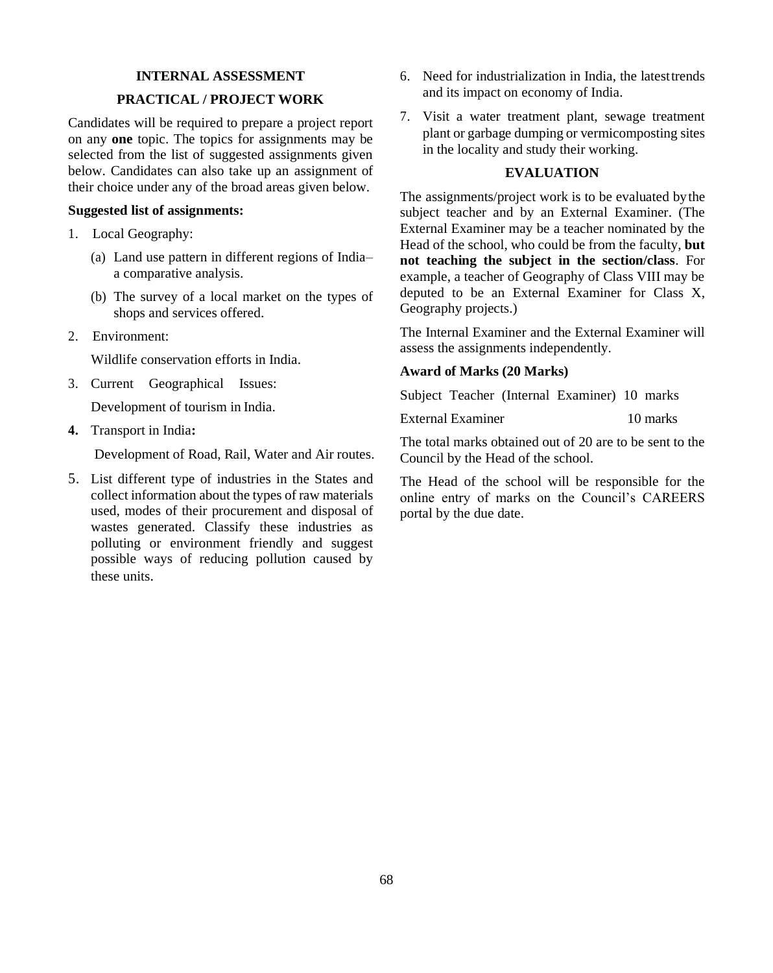## **INTERNAL ASSESSMENT**

## **PRACTICAL / PROJECT WORK**

Candidates will be required to prepare a project report on any **one** topic. The topics for assignments may be selected from the list of suggested assignments given below. Candidates can also take up an assignment of their choice under any of the broad areas given below.

## **Suggested list of assignments:**

- 1. Local Geography:
	- (a) Land use pattern in different regions of India– a comparative analysis.
	- (b) The survey of a local market on the types of shops and services offered.
- 2. Environment:

Wildlife conservation efforts in India.

3. Current Geographical Issues:

Development of tourism in India.

**4.** Transport in India**:**

Development of Road, Rail, Water and Air routes.

5. List different type of industries in the States and collect information about the types of raw materials used, modes of their procurement and disposal of wastes generated. Classify these industries as polluting or environment friendly and suggest possible ways of reducing pollution caused by these units.

- 6. Need for industrialization in India, the latesttrends and its impact on economy of India.
- 7. Visit a water treatment plant, sewage treatment plant or garbage dumping or vermicomposting sites in the locality and study their working.

#### **EVALUATION**

The assignments/project work is to be evaluated bythe subject teacher and by an External Examiner. (The External Examiner may be a teacher nominated by the Head of the school, who could be from the faculty, **but not teaching the subject in the section/class**. For example, a teacher of Geography of Class VIII may be deputed to be an External Examiner for Class X, Geography projects.)

The Internal Examiner and the External Examiner will assess the assignments independently.

## **Award of Marks (20 Marks)**

Subject Teacher (Internal Examiner) 10 marks

External Examiner 10 marks

The total marks obtained out of 20 are to be sent to the Council by the Head of the school.

The Head of the school will be responsible for the online entry of marks on the Council's CAREERS portal by the due date.